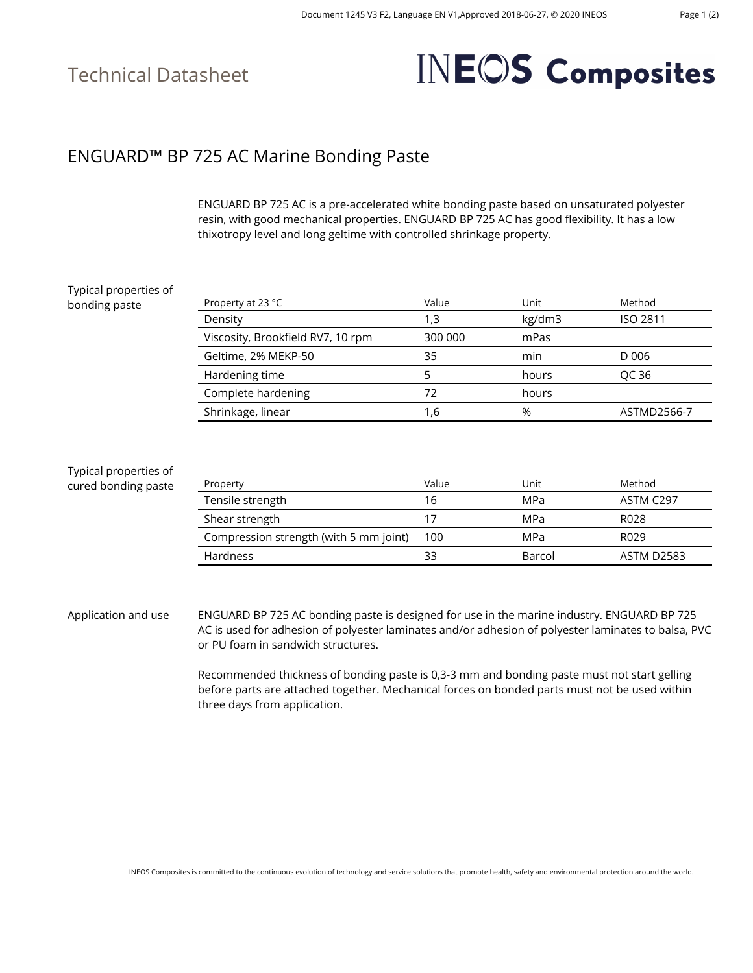# **INEOS** Composites

### ENGUARD™ BP 725 AC Marine Bonding Paste

ENGUARD BP 725 AC is a pre-accelerated white bonding paste based on unsaturated polyester resin, with good mechanical properties. ENGUARD BP 725 AC has good flexibility. It has a low thixotropy level and long geltime with controlled shrinkage property.

| Typical properties of                        |                                                                                                                                                                                                 |         |        |                   |
|----------------------------------------------|-------------------------------------------------------------------------------------------------------------------------------------------------------------------------------------------------|---------|--------|-------------------|
| bonding paste                                | Property at 23 °C                                                                                                                                                                               | Value   | Unit   | Method            |
|                                              | Density                                                                                                                                                                                         | 1,3     | kg/dm3 | <b>ISO 2811</b>   |
|                                              | Viscosity, Brookfield RV7, 10 rpm                                                                                                                                                               | 300 000 | mPas   |                   |
|                                              | Geltime, 2% MEKP-50                                                                                                                                                                             | 35      | min    | D 006             |
|                                              | Hardening time                                                                                                                                                                                  | 5       | hours  | QC 36             |
|                                              | Complete hardening                                                                                                                                                                              | 72      | hours  |                   |
|                                              | Shrinkage, linear                                                                                                                                                                               | 1,6     | %      | ASTMD2566-7       |
| Typical properties of<br>cured bonding paste | Property                                                                                                                                                                                        | Value   | Unit   | Method            |
|                                              | Tensile strength                                                                                                                                                                                | 16      | MPa    | ASTM C297         |
|                                              | Shear strength                                                                                                                                                                                  | 17      | MPa    | R028              |
|                                              | Compression strength (with 5 mm joint)                                                                                                                                                          | 100     | MPa    | R029              |
|                                              | Hardness                                                                                                                                                                                        | 33      | Barcol | <b>ASTM D2583</b> |
|                                              |                                                                                                                                                                                                 |         |        |                   |
| Application and use                          | ENGUARD BP 725 AC bonding paste is designed for use in the marine industry. ENGUARD BP 725<br>AC is used for adhesion of polyester laminates and/or adhesion of polyester laminates to halsa PV |         |        |                   |

AC is used for adhesion of polyester laminates and/or adhesion of polyester laminates to balsa, PVC or PU foam in sandwich structures.

Recommended thickness of bonding paste is 0,3-3 mm and bonding paste must not start gelling before parts are attached together. Mechanical forces on bonded parts must not be used within three days from application.